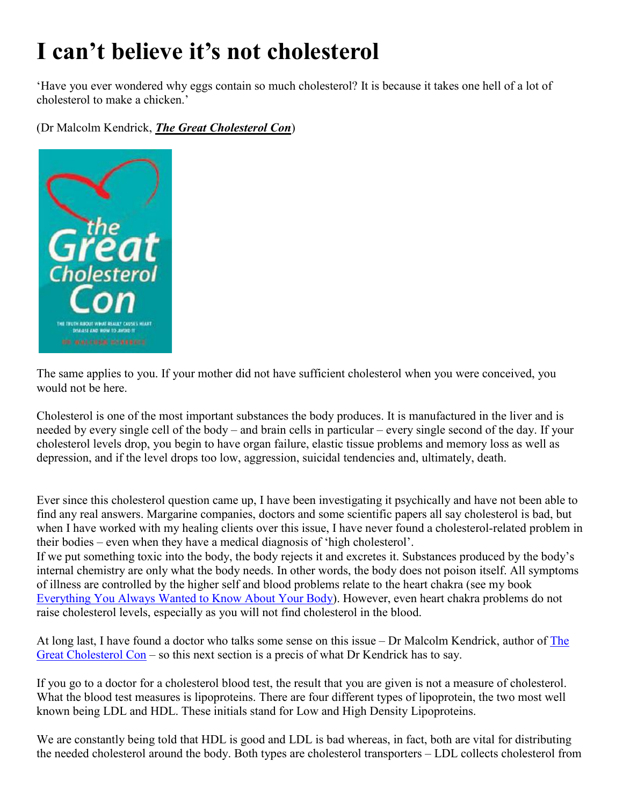## **I can't believe it's not cholesterol**

'Have you ever wondered why eggs contain so much cholesterol? It is because it takes one hell of a lot of cholesterol to make a chicken.'

(Dr Malcolm Kendrick, *The Great Cholesterol Con*)



The same applies to you. If your mother did not have sufficient cholesterol when you were conceived, you would not be here.

Cholesterol is one of the most important substances the body produces. It is manufactured in the liver and is needed by every single cell of the body – and brain cells in particular – every single second of the day. If your cholesterol levels drop, you begin to have organ failure, elastic tissue problems and memory loss as well as depression, and if the level drops too low, aggression, suicidal tendencies and, ultimately, death.

Ever since this cholesterol question came up, I have been investigating it psychically and have not been able to find any real answers. Margarine companies, doctors and some scientific papers all say cholesterol is bad, but when I have worked with my healing clients over this issue, I have never found a cholesterol-related problem in their bodies – even when they have a medical diagnosis of 'high cholesterol'.

If we put something toxic into the body, the body rejects it and excretes it. Substances produced by the body's internal chemistry are only what the body needs. In other words, the body does not poison itself. All symptoms of illness are controlled by the higher self and blood problems relate to the heart chakra (see my book [Everything You Always Wanted to Know](https://cygnusreview.com/collections/chris-thomas/products/everything-you-always-wanted-to-know-about-your-body-chris-thomas-and-diane-baker) About Your Body). However, even heart chakra problems do not raise cholesterol levels, especially as you will not find cholesterol in the blood.

At long last, I have found a doctor who talks some sense on this issue – Dr Malcolm Kendrick, author of [Th](https://cygnusreview.com/products/the-great-cholesterol-con-dr-malcolm-kendrick)e [Great Choleste](https://cygnusreview.com/products/the-great-cholesterol-con-dr-malcolm-kendrick)rol Con – so this next section is a precis of what Dr Kendrick has to say.

If you go to a doctor for a cholesterol blood test, the result that you are given is not a measure of cholesterol. What the blood test measures is lipoproteins. There are four different types of lipoprotein, the two most well known being LDL and HDL. These initials stand for Low and High Density Lipoproteins.

We are constantly being told that HDL is good and LDL is bad whereas, in fact, both are vital for distributing the needed cholesterol around the body. Both types are cholesterol transporters – LDL collects cholesterol from